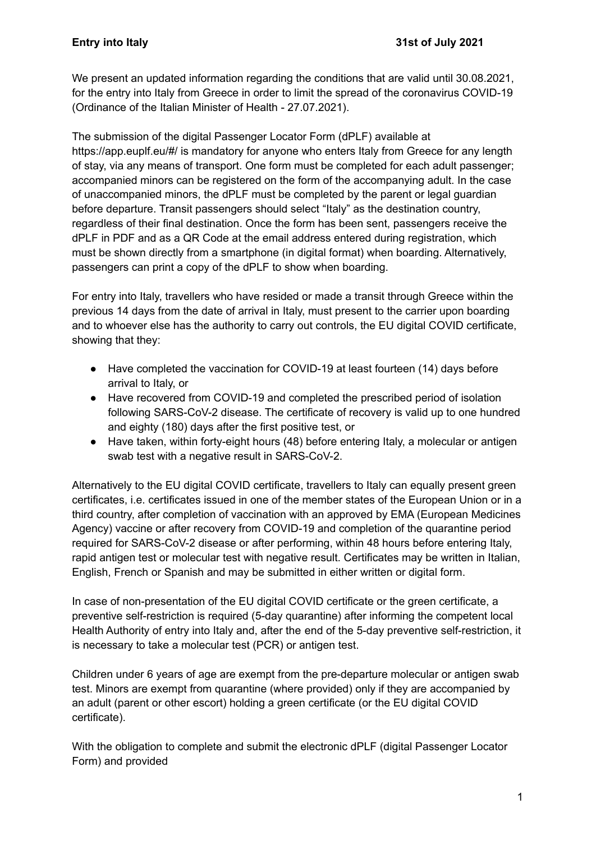We present an updated information regarding the conditions that are valid until 30.08.2021, for the entry into Italy from Greece in order to limit the spread of the coronavirus COVID-19 (Ordinance of the Italian Minister of Health - 27.07.2021).

The submission of the digital Passenger Locator Form (dPLF) available at https://app.euplf.eu/#/ is mandatory for anyone who enters Italy from Greece for any length of stay, via any means of transport. One form must be completed for each adult passenger; accompanied minors can be registered on the form of the accompanying adult. In the case of unaccompanied minors, the dPLF must be completed by the parent or legal guardian before departure. Transit passengers should select "Italy" as the destination country, regardless of their final destination. Once the form has been sent, passengers receive the dPLF in PDF and as a QR Code at the email address entered during registration, which must be shown directly from a smartphone (in digital format) when boarding. Alternatively, passengers can print a copy of the dPLF to show when boarding.

For entry into Italy, travellers who have resided or made a transit through Greece within the previous 14 days from the date of arrival in Italy, must present to the carrier upon boarding and to whoever else has the authority to carry out controls, the EU digital COVID certificate, showing that they:

- Have completed the vaccination for COVID-19 at least fourteen (14) days before arrival to Italy, or
- Have recovered from COVID-19 and completed the prescribed period of isolation following SARS-CoV-2 disease. The certificate of recovery is valid up to one hundred and eighty (180) days after the first positive test, or
- Have taken, within forty-eight hours (48) before entering Italy, a molecular or antigen swab test with a negative result in SARS-CoV-2.

Alternatively to the EU digital COVID certificate, travellers to Italy can equally present green certificates, i.e. certificates issued in one of the member states of the European Union or in a third country, after completion of vaccination with an approved by EMA (European Medicines Agency) vaccine or after recovery from COVID-19 and completion of the quarantine period required for SARS-CoV-2 disease or after performing, within 48 hours before entering Italy, rapid antigen test or molecular test with negative result. Certificates may be written in Italian, English, French or Spanish and may be submitted in either written or digital form.

In case of non-presentation of the EU digital COVID certificate or the green certificate, a preventive self-restriction is required (5-day quarantine) after informing the competent local Health Authority of entry into Italy and, after the end of the 5-day preventive self-restriction, it is necessary to take a molecular test (PCR) or antigen test.

Children under 6 years of age are exempt from the pre-departure molecular or antigen swab test. Minors are exempt from quarantine (where provided) only if they are accompanied by an adult (parent or other escort) holding a green certificate (or the EU digital COVID certificate).

With the obligation to complete and submit the electronic dPLF (digital Passenger Locator Form) and provided